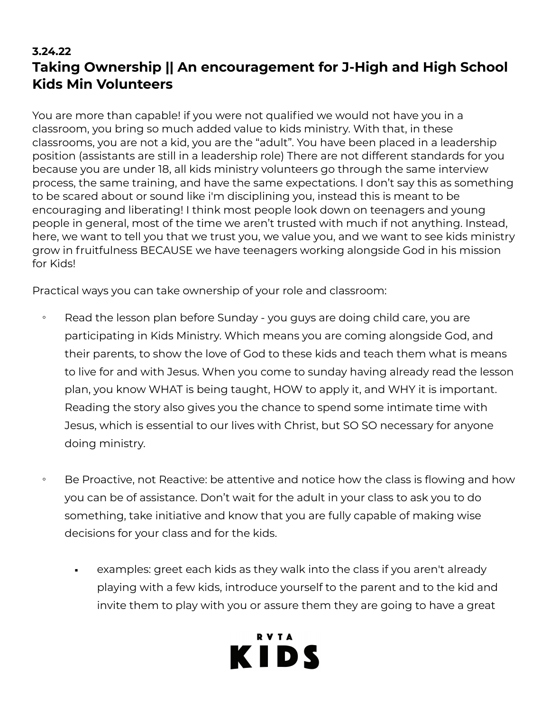## **3.24.22 Taking Ownership || An encouragement for J-High and High School Kids Min Volunteers**

You are more than capable! if you were not qualified we would not have you in a classroom, you bring so much added value to kids ministry. With that, in these classrooms, you are not a kid, you are the "adult". You have been placed in a leadership position (assistants are still in a leadership role) There are not different standards for you because you are under 18, all kids ministry volunteers go through the same interview process, the same training, and have the same expectations. I don't say this as something to be scared about or sound like i'm disciplining you, instead this is meant to be encouraging and liberating! I think most people look down on teenagers and young people in general, most of the time we aren't trusted with much if not anything. Instead, here, we want to tell you that we trust you, we value you, and we want to see kids ministry grow in fruitfulness BECAUSE we have teenagers working alongside God in his mission for Kids!

Practical ways you can take ownership of your role and classroom:

- Read the lesson plan before Sunday you guys are doing child care, you are participating in Kids Ministry. Which means you are coming alongside God, and their parents, to show the love of God to these kids and teach them what is means to live for and with Jesus. When you come to sunday having already read the lesson plan, you know WHAT is being taught, HOW to apply it, and WHY it is important. Reading the story also gives you the chance to spend some intimate time with Jesus, which is essential to our lives with Christ, but SO SO necessary for anyone doing ministry.
- Be Proactive, not Reactive: be attentive and notice how the class is flowing and how you can be of assistance. Don't wait for the adult in your class to ask you to do something, take initiative and know that you are fully capable of making wise decisions for your class and for the kids.
	- examples: greet each kids as they walk into the class if you aren't already playing with a few kids, introduce yourself to the parent and to the kid and invite them to play with you or assure them they are going to have a great

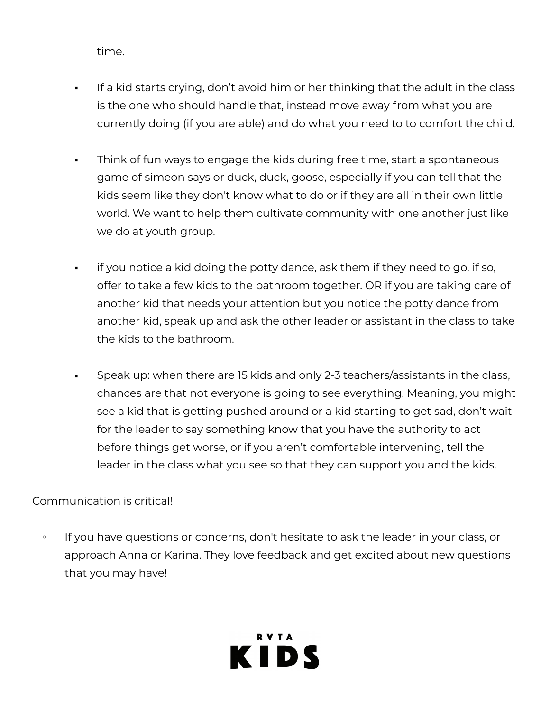time.

- If a kid starts crying, don't avoid him or her thinking that the adult in the class is the one who should handle that, instead move away from what you are currently doing (if you are able) and do what you need to to comfort the child.
- Think of fun ways to engage the kids during free time, start a spontaneous game of simeon says or duck, duck, goose, especially if you can tell that the kids seem like they don't know what to do or if they are all in their own little world. We want to help them cultivate community with one another just like we do at youth group.
- if you notice a kid doing the potty dance, ask them if they need to go. if so, offer to take a few kids to the bathroom together. OR if you are taking care of another kid that needs your attention but you notice the potty dance from another kid, speak up and ask the other leader or assistant in the class to take the kids to the bathroom.
- Speak up: when there are 15 kids and only 2-3 teachers/assistants in the class, chances are that not everyone is going to see everything. Meaning, you might see a kid that is getting pushed around or a kid starting to get sad, don't wait for the leader to say something know that you have the authority to act before things get worse, or if you aren't comfortable intervening, tell the leader in the class what you see so that they can support you and the kids.

## Communication is critical!

◦ If you have questions or concerns, don't hesitate to ask the leader in your class, or approach Anna or Karina. They love feedback and get excited about new questions that you may have!